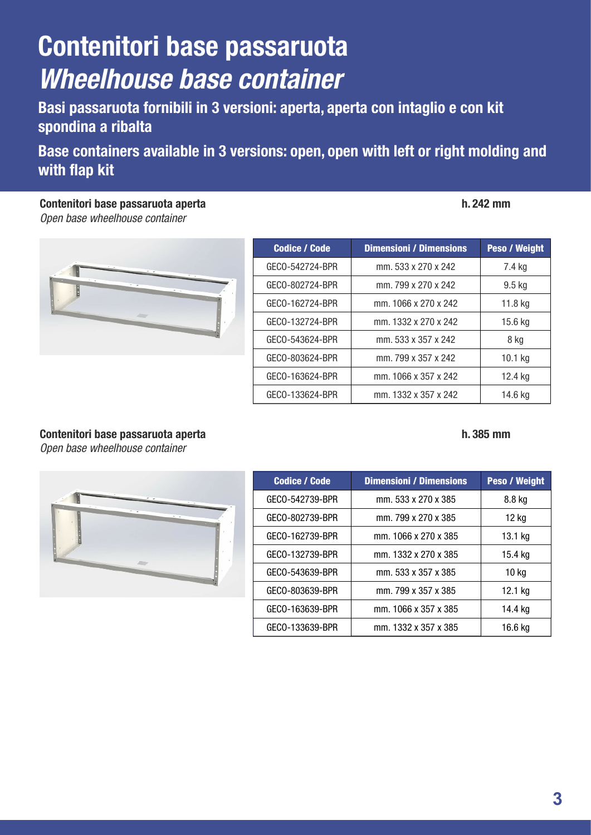# **Contenitori base passaruota** *Wheelhouse base container*

**Basi passaruota fornibili in 3 versioni: aperta, aperta con intaglio e con kit spondina a ribalta**

**Base containers available in 3 versions: open, open with left or right molding and with flap kit**

**Contenitori base passaruota aperta h. 242 mm** *Open base wheelhouse container*

| ۰ |  |
|---|--|
|   |  |
|   |  |
|   |  |

| <b>Codice / Code</b> | <b>Dimensioni / Dimensions</b> | <b>Peso / Weight</b> |
|----------------------|--------------------------------|----------------------|
| GECO-542724-BPR      | mm. 533 x 270 x 242            | 7.4 kg               |
| GECO-802724-BPR      | mm. 799 x 270 x 242            | $9.5$ kg             |
| GECO-162724-BPR      | mm. 1066 x 270 x 242           | 11.8 kg              |
| GECO-132724-BPR      | mm. 1332 x 270 x 242           | 15.6 kg              |
| GECO-543624-BPR      | mm. 533 x 357 x 242            | 8 kg                 |
| GECO-803624-BPR      | mm. 799 x 357 x 242            | $10.1$ kg            |
| GECO-163624-BPR      | mm. 1066 x 357 x 242           | 12.4 kg              |
| GECO-133624-BPR      | mm. 1332 x 357 x 242           | 14.6 kg              |

## **Contenitori base passaruota aperta h. 385 mm**

*Open base wheelhouse container*



| <b>Codice / Code</b> | <b>Dimensioni / Dimensions</b> | <b>Peso / Weight</b> |
|----------------------|--------------------------------|----------------------|
| GECO-542739-BPR      | mm. 533 x 270 x 385            | 8.8 kg               |
| GECO-802739-BPR      | mm. 799 x 270 x 385            | 12 kg                |
| GECO-162739-BPR      | mm. 1066 x 270 x 385           | 13.1 kg              |
| GECO-132739-BPR      | mm. 1332 x 270 x 385           | 15.4 kg              |
| GECO-543639-BPR      | mm. 533 x 357 x 385            | 10 kg                |
| GECO-803639-BPR      | mm. 799 x 357 x 385            | 12.1 kg              |
| GECO-163639-BPR      | mm. 1066 x 357 x 385           | 14.4 kg              |
| GECO-133639-BPR      | mm. 1332 x 357 x 385           | 16.6 kg              |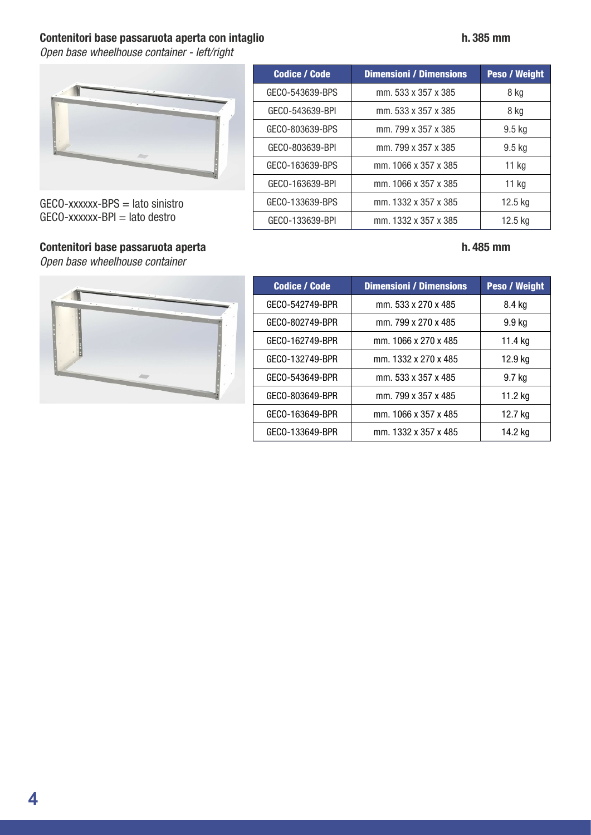## **Contenitori base passaruota aperta con intaglio h. 385 mm**

*Open base wheelhouse container - left/right*



 $GECO$ -xxxxxx-BPS = lato sinistro  $GECO$ -xxxxxx-BPI = lato destro

## **Contenitori base passaruota aperta h. 485 mm**

*Open base wheelhouse container*





| <b>Codice / Code</b> | <b>Dimensioni / Dimensions</b> | <b>Peso / Weight</b> |
|----------------------|--------------------------------|----------------------|
| GECO-542749-BPR      | mm. 533 x 270 x 485            | 8.4 kg               |
| GECO-802749-BPR      | mm. 799 x 270 x 485            | 9.9 kg               |
| GECO-162749-BPR      | mm. 1066 x 270 x 485           | 11.4 kg              |
| GECO-132749-BPR      | mm. 1332 x 270 x 485           | 12.9 kg              |
| GECO-543649-BPR      | mm. 533 x 357 x 485            | 9.7 kg               |
| GECO-803649-BPR      | mm. 799 x 357 x 485            | 11.2 kg              |
| GECO-163649-BPR      | mm. 1066 x 357 x 485           | 12.7 kg              |
| GECO-133649-BPR      | mm. 1332 x 357 x 485           | 14.2 kg              |
|                      |                                |                      |